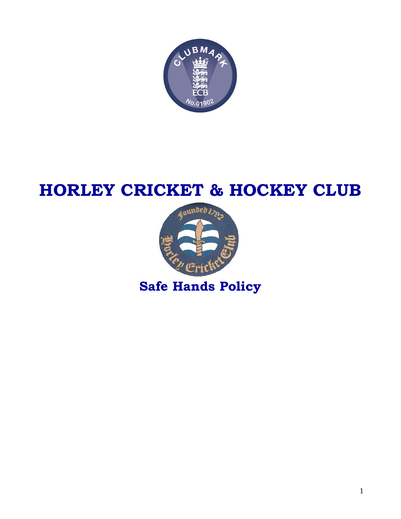

# **HORLEY CRICKET & HOCKEY CLUB**



**Safe Hands Policy**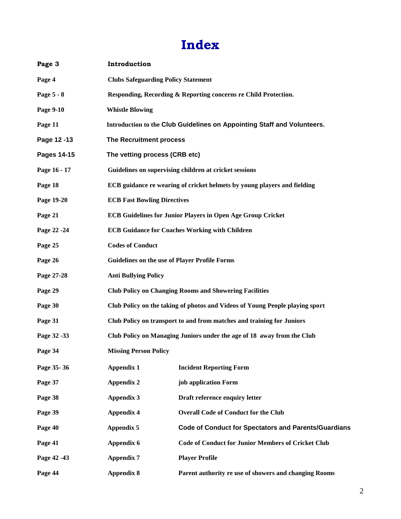# **Index**

| Page 3       | Introduction                                                                 |                                                                          |  |
|--------------|------------------------------------------------------------------------------|--------------------------------------------------------------------------|--|
| Page 4       | <b>Clubs Safeguarding Policy Statement</b>                                   |                                                                          |  |
| Page 5 - 8   |                                                                              | Responding, Recording & Reporting concerns re Child Protection.          |  |
| Page 9-10    | <b>Whistle Blowing</b>                                                       |                                                                          |  |
| Page 11      |                                                                              | Introduction to the Club Guidelines on Appointing Staff and Volunteers.  |  |
| Page 12-13   | The Recruitment process                                                      |                                                                          |  |
| Pages 14-15  | The vetting process (CRB etc)                                                |                                                                          |  |
| Page 16 - 17 |                                                                              | Guidelines on supervising children at cricket sessions                   |  |
| Page 18      |                                                                              | ECB guidance re wearing of cricket helmets by young players and fielding |  |
| Page 19-20   | <b>ECB Fast Bowling Directives</b>                                           |                                                                          |  |
| Page 21      |                                                                              | <b>ECB Guidelines for Junior Players in Open Age Group Cricket</b>       |  |
| Page 22 - 24 | <b>ECB Guidance for Coaches Working with Children</b>                        |                                                                          |  |
| Page 25      | <b>Codes of Conduct</b>                                                      |                                                                          |  |
| Page 26      | <b>Guidelines on the use of Player Profile Forms</b>                         |                                                                          |  |
| Page 27-28   | <b>Anti Bullying Policy</b>                                                  |                                                                          |  |
| Page 29      | <b>Club Policy on Changing Rooms and Showering Facilities</b>                |                                                                          |  |
| Page 30      | Club Policy on the taking of photos and Videos of Young People playing sport |                                                                          |  |
| Page 31      | Club Policy on transport to and from matches and training for Juniors        |                                                                          |  |
| Page 32 - 33 | Club Policy on Managing Juniors under the age of 18 away from the Club       |                                                                          |  |
| Page 34      | <b>Missing Person Policy</b>                                                 |                                                                          |  |
| Page 35-36   | <b>Appendix 1</b>                                                            | <b>Incident Reporting Form</b>                                           |  |
| Page 37      | <b>Appendix 2</b>                                                            | job application Form                                                     |  |
| Page 38      | <b>Appendix 3</b>                                                            | Draft reference enquiry letter                                           |  |
| Page 39      | <b>Appendix 4</b>                                                            | <b>Overall Code of Conduct for the Club</b>                              |  |
| Page 40      | <b>Appendix 5</b>                                                            | <b>Code of Conduct for Spectators and Parents/Guardians</b>              |  |
| Page 41      | Appendix 6                                                                   | <b>Code of Conduct for Junior Members of Cricket Club</b>                |  |
| Page 42 - 43 | <b>Appendix 7</b>                                                            | <b>Player Profile</b>                                                    |  |
| Page 44      | <b>Appendix 8</b>                                                            | Parent authority re use of showers and changing Rooms                    |  |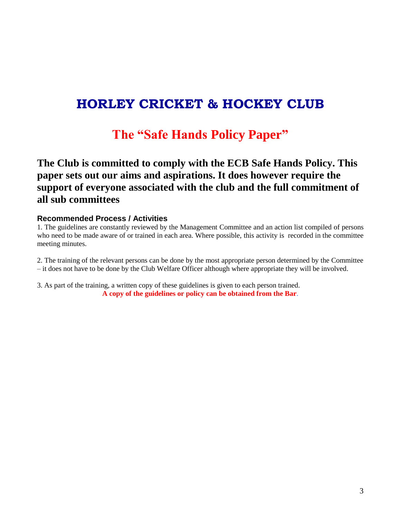### **HORLEY CRICKET & HOCKEY CLUB**

### **The "Safe Hands Policy Paper"**

### **The Club is committed to comply with the ECB Safe Hands Policy. This paper sets out our aims and aspirations. It does however require the support of everyone associated with the club and the full commitment of all sub committees**

#### **Recommended Process / Activities**

1. The guidelines are constantly reviewed by the Management Committee and an action list compiled of persons who need to be made aware of or trained in each area. Where possible, this activity is recorded in the committee meeting minutes.

2. The training of the relevant persons can be done by the most appropriate person determined by the Committee – it does not have to be done by the Club Welfare Officer although where appropriate they will be involved.

3. As part of the training, a written copy of these guidelines is given to each person trained. **A copy of the guidelines or policy can be obtained from the Bar**.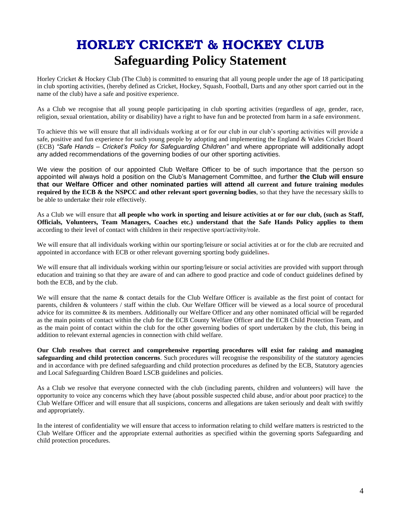# **HORLEY CRICKET & HOCKEY CLUB Safeguarding Policy Statement**

Horley Cricket & Hockey Club (The Club) is committed to ensuring that all young people under the age of 18 participating in club sporting activities, (hereby defined as Cricket, Hockey, Squash, Football, Darts and any other sport carried out in the name of the club) have a safe and positive experience.

As a Club we recognise that all young people participating in club sporting activities (regardless of age, gender, race, religion, sexual orientation, ability or disability) have a right to have fun and be protected from harm in a safe environment.

To achieve this we will ensure that all individuals working at or for our club in our club's sporting activities will provide a safe, positive and fun experience for such young people by adopting and implementing the England & Wales Cricket Board (ECB) *"Safe Hands – Cricket's Policy for Safeguarding Children"* and where appropriate will additionally adopt any added recommendations of the governing bodies of our other sporting activities.

We view the position of our appointed Club Welfare Officer to be of such importance that the person so appointed will always hold a position on the Club's Management Committee, and further **the Club will ensure that our Welfare Officer and other nominated parties will attend all current and future training modules required by the ECB & the NSPCC and other relevant sport governing bodies**, so that they have the necessary skills to be able to undertake their role effectively.

As a Club we will ensure that **all people who work in sporting and leisure activities at or for our club, (such as Staff, Officials, Volunteers, Team Managers, Coaches etc.) understand that the Safe Hands Policy applies to them** according to their level of contact with children in their respective sport/activity/role.

We will ensure that all individuals working within our sporting/leisure or social activities at or for the club are recruited and appointed in accordance with ECB or other relevant governing sporting body guidelines**.**

We will ensure that all individuals working within our sporting/leisure or social activities are provided with support through education and training so that they are aware of and can adhere to good practice and code of conduct guidelines defined by both the ECB, and by the club.

We will ensure that the name & contact details for the Club Welfare Officer is available as the first point of contact for parents, children & volunteers / staff within the club. Our Welfare Officer will be viewed as a local source of procedural advice for its committee & its members. Additionally our Welfare Officer and any other nominated official will be regarded as the main points of contact within the club for the ECB County Welfare Officer and the ECB Child Protection Team, and as the main point of contact within the club for the other governing bodies of sport undertaken by the club, this being in addition to relevant external agencies in connection with child welfare.

**Our Club resolves that correct and comprehensive reporting procedures will exist for raising and managing safeguarding and child protection concerns**. Such procedures will recognise the responsibility of the statutory agencies and in accordance with pre defined safeguarding and child protection procedures as defined by the ECB, Statutory agencies and Local Safeguarding Children Board LSCB guidelines and policies.

As a Club we resolve that everyone connected with the club (including parents, children and volunteers) will have the opportunity to voice any concerns which they have (about possible suspected child abuse, and/or about poor practice) to the Club Welfare Officer and will ensure that all suspicions, concerns and allegations are taken seriously and dealt with swiftly and appropriately.

In the interest of confidentiality we will ensure that access to information relating to child welfare matters is restricted to the Club Welfare Officer and the appropriate external authorities as specified within the governing sports Safeguarding and child protection procedures.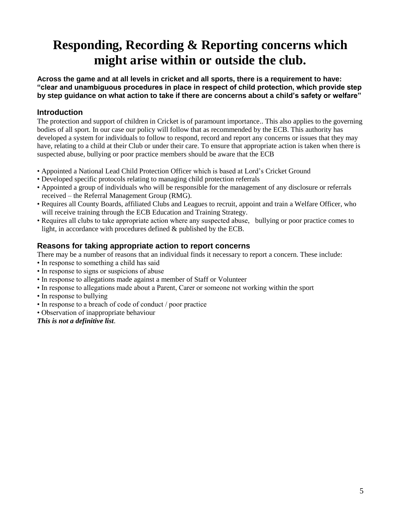## **Responding, Recording & Reporting concerns which might arise within or outside the club.**

**Across the game and at all levels in cricket and all sports, there is a requirement to have: "clear and unambiguous procedures in place in respect of child protection, which provide step by step guidance on what action to take if there are concerns about a child's safety or welfare"**

### **Introduction**

The protection and support of children in Cricket is of paramount importance.. This also applies to the governing bodies of all sport. In our case our policy will follow that as recommended by the ECB. This authority has developed a system for individuals to follow to respond, record and report any concerns or issues that they may have, relating to a child at their Club or under their care. To ensure that appropriate action is taken when there is suspected abuse, bullying or poor practice members should be aware that the ECB

- Appointed a National Lead Child Protection Officer which is based at Lord's Cricket Ground
- Developed specific protocols relating to managing child protection referrals
- Appointed a group of individuals who will be responsible for the management of any disclosure or referrals received – the Referral Management Group (RMG).
- Requires all County Boards, affiliated Clubs and Leagues to recruit, appoint and train a Welfare Officer, who will receive training through the ECB Education and Training Strategy.
- Requires all clubs to take appropriate action where any suspected abuse, bullying or poor practice comes to light, in accordance with procedures defined & published by the ECB.

### **Reasons for taking appropriate action to report concerns**

There may be a number of reasons that an individual finds it necessary to report a concern. These include:

- In response to something a child has said
- In response to signs or suspicions of abuse
- In response to allegations made against a member of Staff or Volunteer
- In response to allegations made about a Parent, Carer or someone not working within the sport
- In response to bullying
- In response to a breach of code of conduct / poor practice
- Observation of inappropriate behaviour

*This is not a definitive list*.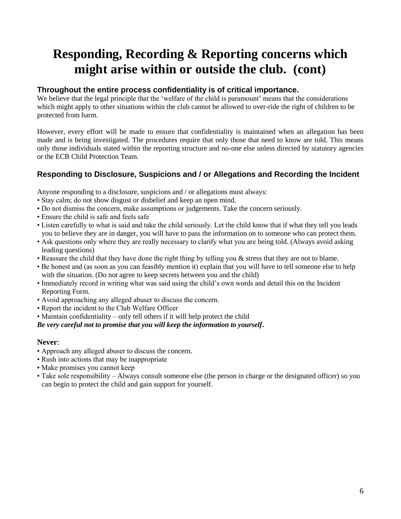# **Responding, Recording & Reporting concerns which might arise within or outside the club. (cont)**

### **Throughout the entire process confidentiality is of critical importance.**

We believe that the legal principle that the 'welfare of the child is paramount' means that the considerations which might apply to other situations within the club cannot be allowed to over-ride the right of children to be protected from harm.

However, every effort will be made to ensure that confidentiality is maintained when an allegation has been made and is being investigated. The procedures require that only those that need to know are told. This means only those individuals stated within the reporting structure and no-one else unless directed by statutory agencies or the ECB Child Protection Team.

### **Responding to Disclosure, Suspicions and / or Allegations and Recording the Incident**

Anyone responding to a disclosure, suspicions and / or allegations must always:

- Stay calm; do not show disgust or disbelief and keep an open mind.
- Do not dismiss the concern, make assumptions or judgements. Take the concern seriously.
- Ensure the child is safe and feels safe
- Listen carefully to what is said and take the child seriously. Let the child know that if what they tell you leads you to believe they are in danger, you will have to pass the information on to someone who can protect them.
- Ask questions only where they are really necessary to clarify what you are being told. (Always avoid asking leading questions)
- Reassure the child that they have done the right thing by telling you & stress that they are not to blame.
- Be honest and (as soon as you can feasibly mention it) explain that you will have to tell someone else to help with the situation. (Do not agree to keep secrets between you and the child)
- Immediately record in writing what was said using the child's own words and detail this on the Incident Reporting Form.
- Avoid approaching any alleged abuser to discuss the concern.
- Report the incident to the Club Welfare Officer
- Maintain confidentiality only tell others if it will help protect the child

#### *Be very careful not to promise that you will keep the information to yourself***.**

### **Never**:

- Approach any alleged abuser to discuss the concern.
- Rush into actions that may be inappropriate
- Make promises you cannot keep
- Take sole responsibility Always consult someone else (the person in charge or the designated officer) so you can begin to protect the child and gain support for yourself.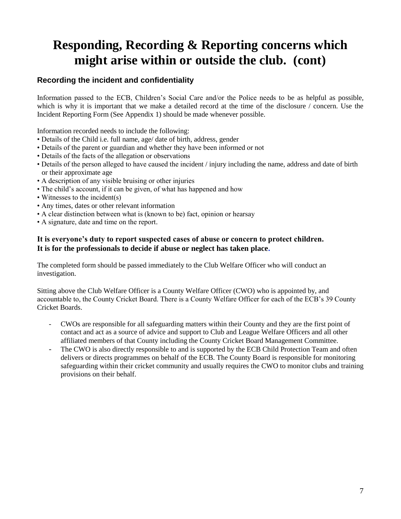# **Responding, Recording & Reporting concerns which might arise within or outside the club. (cont)**

### **Recording the incident and confidentiality**

Information passed to the ECB, Children's Social Care and/or the Police needs to be as helpful as possible, which is why it is important that we make a detailed record at the time of the disclosure / concern. Use the Incident Reporting Form (See Appendix 1) should be made whenever possible.

Information recorded needs to include the following:

- Details of the Child i.e. full name, age/ date of birth, address, gender
- Details of the parent or guardian and whether they have been informed or not
- Details of the facts of the allegation or observations
- Details of the person alleged to have caused the incident / injury including the name, address and date of birth or their approximate age
- A description of any visible bruising or other injuries
- The child's account, if it can be given, of what has happened and how
- Witnesses to the incident(s)
- Any times, dates or other relevant information
- A clear distinction between what is (known to be) fact, opinion or hearsay
- A signature, date and time on the report.

#### **It is everyone's duty to report suspected cases of abuse or concern to protect children. It is for the professionals to decide if abuse or neglect has taken place.**

The completed form should be passed immediately to the Club Welfare Officer who will conduct an investigation.

Sitting above the Club Welfare Officer is a County Welfare Officer (CWO) who is appointed by, and accountable to, the County Cricket Board. There is a County Welfare Officer for each of the ECB's 39 County Cricket Boards.

- CWOs are responsible for all safeguarding matters within their County and they are the first point of contact and act as a source of advice and support to Club and League Welfare Officers and all other affiliated members of that County including the County Cricket Board Management Committee.
- The CWO is also directly responsible to and is supported by the ECB Child Protection Team and often delivers or directs programmes on behalf of the ECB. The County Board is responsible for monitoring safeguarding within their cricket community and usually requires the CWO to monitor clubs and training provisions on their behalf.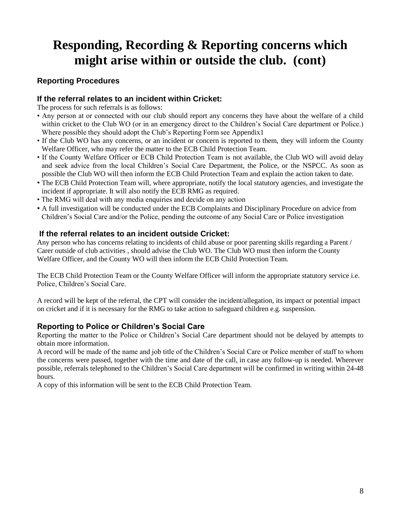# **Responding, Recording & Reporting concerns which might arise within or outside the club. (cont)**

### **Reporting Procedures**

### **If the referral relates to an incident within Cricket:**

The process for such referrals is as follows:

- Any person at or connected with our club should report any concerns they have about the welfare of a child within cricket to the Club WO (or in an emergency direct to the Children's Social Care department or Police.) Where possible they should adopt the Club's Reporting Form see Appendix1
- If the Club WO has any concerns, or an incident or concern is reported to them, they will inform the County Welfare Officer, who may refer the matter to the ECB Child Protection Team.
- If the County Welfare Officer or ECB Child Protection Team is not available, the Club WO will avoid delay and seek advice from the local Children's Social Care Department, the Police, or the NSPCC. As soon as possible the Club WO will then inform the ECB Child Protection Team and explain the action taken to date.
- The ECB Child Protection Team will, where appropriate, notify the local statutory agencies, and investigate the incident if appropriate. It will also notify the ECB RMG as required.
- The RMG will deal with any media enquiries and decide on any action
- A full investigation will be conducted under the ECB Complaints and Disciplinary Procedure on advice from Children's Social Care and/or the Police, pending the outcome of any Social Care or Police investigation

### **If the referral relates to an incident outside Cricket:**

Any person who has concerns relating to incidents of child abuse or poor parenting skills regarding a Parent / Carer outside of club activities , should advise the Club WO. The Club WO must then inform the County Welfare Officer, and the County WO will then inform the ECB Child Protection Team.

The ECB Child Protection Team or the County Welfare Officer will inform the appropriate statutory service i.e. Police, Children's Social Care.

A record will be kept of the referral, the CPT will consider the incident/allegation, its impact or potential impact on cricket and if it is necessary for the RMG to take action to safeguard children e.g. suspension.

### **Reporting to Police or Children's Social Care**

Reporting the matter to the Police or Children's Social Care department should not be delayed by attempts to obtain more information.

A record will be made of the name and job title of the Children's Social Care or Police member of staff to whom the concerns were passed, together with the time and date of the call, in case any follow-up is needed. Wherever possible, referrals telephoned to the Children's Social Care department will be confirmed in writing within 24-48 hours.

A copy of this information will be sent to the ECB Child Protection Team.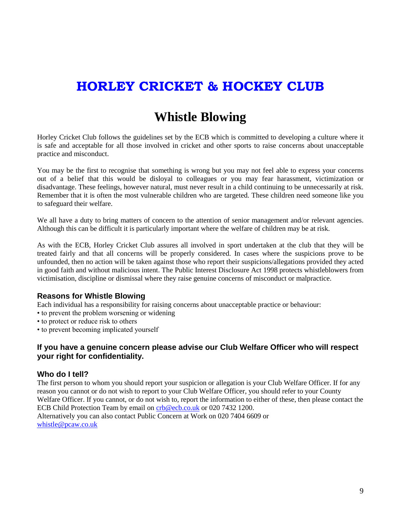# **HORLEY CRICKET & HOCKEY CLUB**

### **Whistle Blowing**

Horley Cricket Club follows the guidelines set by the ECB which is committed to developing a culture where it is safe and acceptable for all those involved in cricket and other sports to raise concerns about unacceptable practice and misconduct.

You may be the first to recognise that something is wrong but you may not feel able to express your concerns out of a belief that this would be disloyal to colleagues or you may fear harassment, victimization or disadvantage. These feelings, however natural, must never result in a child continuing to be unnecessarily at risk. Remember that it is often the most vulnerable children who are targeted. These children need someone like you to safeguard their welfare.

We all have a duty to bring matters of concern to the attention of senior management and/or relevant agencies. Although this can be difficult it is particularly important where the welfare of children may be at risk.

As with the ECB, Horley Cricket Club assures all involved in sport undertaken at the club that they will be treated fairly and that all concerns will be properly considered. In cases where the suspicions prove to be unfounded, then no action will be taken against those who report their suspicions/allegations provided they acted in good faith and without malicious intent. The Public Interest Disclosure Act 1998 protects whistleblowers from victimisation, discipline or dismissal where they raise genuine concerns of misconduct or malpractice.

### **Reasons for Whistle Blowing**

Each individual has a responsibility for raising concerns about unacceptable practice or behaviour:

- to prevent the problem worsening or widening
- to protect or reduce risk to others
- to prevent becoming implicated yourself

#### **If you have a genuine concern please advise our Club Welfare Officer who will respect your right for confidentiality.**

#### **Who do I tell?**

The first person to whom you should report your suspicion or allegation is your Club Welfare Officer. If for any reason you cannot or do not wish to report to your Club Welfare Officer, you should refer to your County Welfare Officer. If you cannot, or do not wish to, report the information to either of these, then please contact the ECB Child Protection Team by email on [crb@ecb.co.uk](mailto:crb@ecb.co.uk) or 020 7432 1200. Alternatively you can also contact Public Concern at Work on 020 7404 6609 or [whistle@pcaw.co.uk](mailto:whistle@pcaw.co.uk)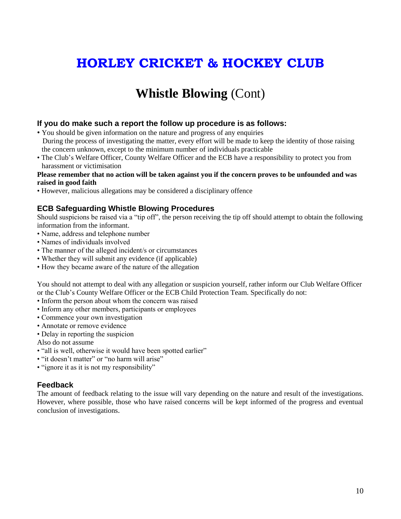# **HORLEY CRICKET & HOCKEY CLUB**

### **Whistle Blowing** (Cont)

#### **If you do make such a report the follow up procedure is as follows:**

- You should be given information on the nature and progress of any enquiries During the process of investigating the matter, every effort will be made to keep the identity of those raising the concern unknown, except to the minimum number of individuals practicable
- The Club's Welfare Officer, County Welfare Officer and the ECB have a responsibility to protect you from harassment or victimisation

#### **Please remember that no action will be taken against you if the concern proves to be unfounded and was raised in good faith**

• However, malicious allegations may be considered a disciplinary offence

### **ECB Safeguarding Whistle Blowing Procedures**

Should suspicions be raised via a "tip off", the person receiving the tip off should attempt to obtain the following information from the informant.

- Name, address and telephone number
- Names of individuals involved
- The manner of the alleged incident/s or circumstances
- Whether they will submit any evidence (if applicable)
- How they became aware of the nature of the allegation

You should not attempt to deal with any allegation or suspicion yourself, rather inform our Club Welfare Officer or the Club's County Welfare Officer or the ECB Child Protection Team. Specifically do not:

- Inform the person about whom the concern was raised
- Inform any other members, participants or employees
- Commence your own investigation
- Annotate or remove evidence
- Delay in reporting the suspicion
- Also do not assume
- "all is well, otherwise it would have been spotted earlier"
- "it doesn't matter" or "no harm will arise"
- "ignore it as it is not my responsibility"

#### **Feedback**

The amount of feedback relating to the issue will vary depending on the nature and result of the investigations. However, where possible, those who have raised concerns will be kept informed of the progress and eventual conclusion of investigations.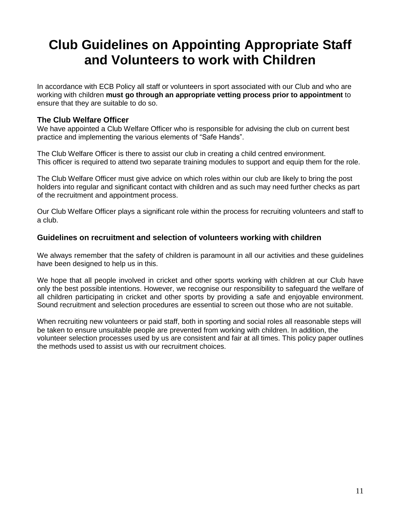# **Club Guidelines on Appointing Appropriate Staff and Volunteers to work with Children**

In accordance with ECB Policy all staff or volunteers in sport associated with our Club and who are working with children **must go through an appropriate vetting process prior to appointment** to ensure that they are suitable to do so.

#### **The Club Welfare Officer**

We have appointed a Club Welfare Officer who is responsible for advising the club on current best practice and implementing the various elements of "Safe Hands".

The Club Welfare Officer is there to assist our club in creating a child centred environment. This officer is required to attend two separate training modules to support and equip them for the role.

The Club Welfare Officer must give advice on which roles within our club are likely to bring the post holders into regular and significant contact with children and as such may need further checks as part of the recruitment and appointment process.

Our Club Welfare Officer plays a significant role within the process for recruiting volunteers and staff to a club.

#### **Guidelines on recruitment and selection of volunteers working with children**

We always remember that the safety of children is paramount in all our activities and these guidelines have been designed to help us in this.

We hope that all people involved in cricket and other sports working with children at our Club have only the best possible intentions. However, we recognise our responsibility to safeguard the welfare of all children participating in cricket and other sports by providing a safe and enjoyable environment. Sound recruitment and selection procedures are essential to screen out those who are not suitable.

When recruiting new volunteers or paid staff, both in sporting and social roles all reasonable steps will be taken to ensure unsuitable people are prevented from working with children. In addition, the volunteer selection processes used by us are consistent and fair at all times. This policy paper outlines the methods used to assist us with our recruitment choices.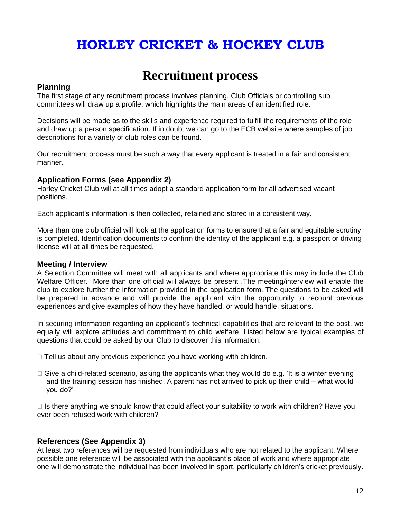# **HORLEY CRICKET & HOCKEY CLUB**

### **Recruitment process**

#### **Planning**

The first stage of any recruitment process involves planning. Club Officials or controlling sub committees will draw up a profile, which highlights the main areas of an identified role.

Decisions will be made as to the skills and experience required to fulfill the requirements of the role and draw up a person specification. If in doubt we can go to the ECB website where samples of job descriptions for a variety of club roles can be found.

Our recruitment process must be such a way that every applicant is treated in a fair and consistent manner.

#### **Application Forms (see Appendix 2)**

Horley Cricket Club will at all times adopt a standard application form for all advertised vacant positions.

Each applicant's information is then collected, retained and stored in a consistent way.

More than one club official will look at the application forms to ensure that a fair and equitable scrutiny is completed. Identification documents to confirm the identity of the applicant e.g. a passport or driving license will at all times be requested.

#### **Meeting / Interview**

A Selection Committee will meet with all applicants and where appropriate this may include the Club Welfare Officer. More than one official will always be present .The meeting/interview will enable the club to explore further the information provided in the application form. The questions to be asked will be prepared in advance and will provide the applicant with the opportunity to recount previous experiences and give examples of how they have handled, or would handle, situations.

In securing information regarding an applicant's technical capabilities that are relevant to the post, we equally will explore attitudes and commitment to child welfare. Listed below are typical examples of questions that could be asked by our Club to discover this information:

- $\Box$  Tell us about any previous experience you have working with children.
- $\Box$  Give a child-related scenario, asking the applicants what they would do e.g. 'It is a winter evening and the training session has finished. A parent has not arrived to pick up their child – what would you do?'

 $\Box$  Is there anything we should know that could affect your suitability to work with children? Have you ever been refused work with children?

#### **References (See Appendix 3)**

At least two references will be requested from individuals who are not related to the applicant. Where possible one reference will be associated with the applicant's place of work and where appropriate, one will demonstrate the individual has been involved in sport, particularly children's cricket previously.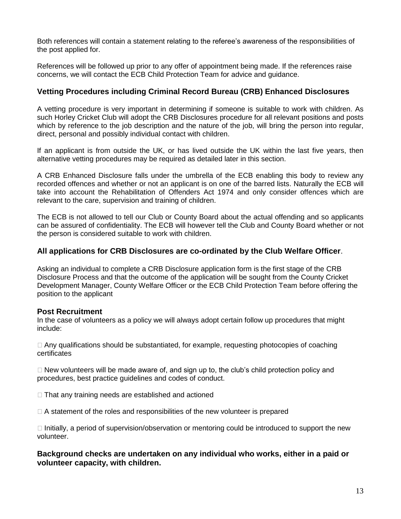Both references will contain a statement relating to the referee's awareness of the responsibilities of the post applied for.

References will be followed up prior to any offer of appointment being made. If the references raise concerns, we will contact the ECB Child Protection Team for advice and guidance.

### **Vetting Procedures including Criminal Record Bureau (CRB) Enhanced Disclosures**

A vetting procedure is very important in determining if someone is suitable to work with children. As such Horley Cricket Club will adopt the CRB Disclosures procedure for all relevant positions and posts which by reference to the job description and the nature of the job, will bring the person into regular, direct, personal and possibly individual contact with children.

If an applicant is from outside the UK, or has lived outside the UK within the last five years, then alternative vetting procedures may be required as detailed later in this section.

A CRB Enhanced Disclosure falls under the umbrella of the ECB enabling this body to review any recorded offences and whether or not an applicant is on one of the barred lists. Naturally the ECB will take into account the Rehabilitation of Offenders Act 1974 and only consider offences which are relevant to the care, supervision and training of children.

The ECB is not allowed to tell our Club or County Board about the actual offending and so applicants can be assured of confidentiality. The ECB will however tell the Club and County Board whether or not the person is considered suitable to work with children.

### **All applications for CRB Disclosures are co-ordinated by the Club Welfare Officer**.

Asking an individual to complete a CRB Disclosure application form is the first stage of the CRB Disclosure Process and that the outcome of the application will be sought from the County Cricket Development Manager, County Welfare Officer or the ECB Child Protection Team before offering the position to the applicant

### **Post Recruitment**

In the case of volunteers as a policy we will always adopt certain follow up procedures that might include:

 $\Box$  Any qualifications should be substantiated, for example, requesting photocopies of coaching certificates

 $\Box$  New volunteers will be made aware of, and sign up to, the club's child protection policy and procedures, best practice guidelines and codes of conduct.

 $\Box$  That any training needs are established and actioned

 $\Box$  A statement of the roles and responsibilities of the new volunteer is prepared

 $\Box$  Initially, a period of supervision/observation or mentoring could be introduced to support the new volunteer.

**Background checks are undertaken on any individual who works, either in a paid or volunteer capacity, with children.**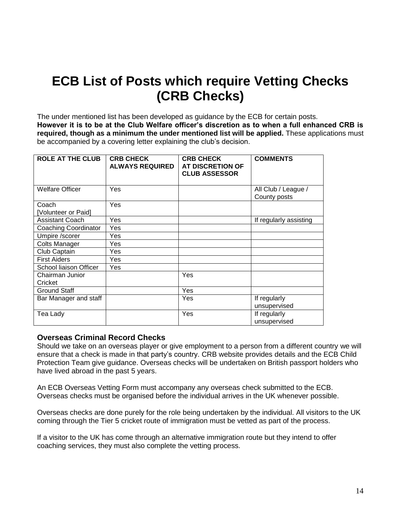# **ECB List of Posts which require Vetting Checks (CRB Checks)**

The under mentioned list has been developed as guidance by the ECB for certain posts. **However it is to be at the Club Welfare officer's discretion as to when a full enhanced CRB is required, though as a minimum the under mentioned list will be applied.** These applications must be accompanied by a covering letter explaining the club's decision.

| <b>ROLE AT THE CLUB</b>     | <b>CRB CHECK</b><br><b>ALWAYS REQUIRED</b> | <b>CRB CHECK</b><br><b>AT DISCRETION OF</b><br><b>CLUB ASSESSOR</b> | <b>COMMENTS</b>                     |
|-----------------------------|--------------------------------------------|---------------------------------------------------------------------|-------------------------------------|
| <b>Welfare Officer</b>      | Yes                                        |                                                                     | All Club / League /<br>County posts |
| Coach                       | Yes                                        |                                                                     |                                     |
| [Volunteer or Paid]         |                                            |                                                                     |                                     |
| <b>Assistant Coach</b>      | Yes                                        |                                                                     | If regularly assisting              |
| <b>Coaching Coordinator</b> | Yes                                        |                                                                     |                                     |
| Umpire /scorer              | Yes                                        |                                                                     |                                     |
| Colts Manager               | Yes                                        |                                                                     |                                     |
| Club Captain                | Yes                                        |                                                                     |                                     |
| <b>First Aiders</b>         | Yes                                        |                                                                     |                                     |
| School liaison Officer      | Yes                                        |                                                                     |                                     |
| Chairman Junior<br>Cricket  |                                            | Yes                                                                 |                                     |
| <b>Ground Staff</b>         |                                            | Yes                                                                 |                                     |
| Bar Manager and staff       |                                            | Yes                                                                 | If regularly<br>unsupervised        |
| Tea Lady                    |                                            | Yes                                                                 | If regularly<br>unsupervised        |

#### **Overseas Criminal Record Checks**

Should we take on an overseas player or give employment to a person from a different country we will ensure that a check is made in that party's country. CRB website provides details and the ECB Child Protection Team give guidance. Overseas checks will be undertaken on British passport holders who have lived abroad in the past 5 years.

An ECB Overseas Vetting Form must accompany any overseas check submitted to the ECB. Overseas checks must be organised before the individual arrives in the UK whenever possible.

Overseas checks are done purely for the role being undertaken by the individual. All visitors to the UK coming through the Tier 5 cricket route of immigration must be vetted as part of the process.

If a visitor to the UK has come through an alternative immigration route but they intend to offer coaching services, they must also complete the vetting process.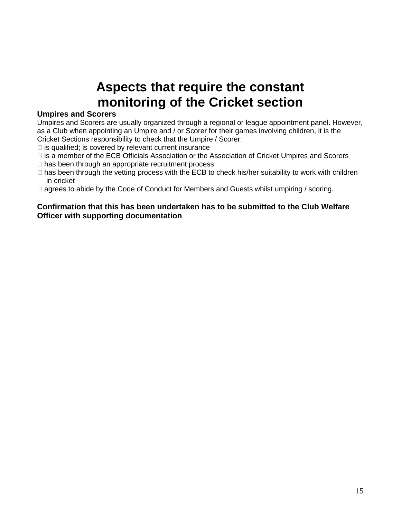# **Aspects that require the constant monitoring of the Cricket section**

#### **Umpires and Scorers**

Umpires and Scorers are usually organized through a regional or league appointment panel. However, as a Club when appointing an Umpire and / or Scorer for their games involving children, it is the Cricket Sections responsibility to check that the Umpire / Scorer:

- $\Box$  is qualified; is covered by relevant current insurance
- is a member of the ECB Officials Association or the Association of Cricket Umpires and Scorers
- $\Box$  has been through an appropriate recruitment process
- $\Box$  has been through the vetting process with the ECB to check his/her suitability to work with children in cricket
- □ agrees to abide by the Code of Conduct for Members and Guests whilst umpiring / scoring.

#### **Confirmation that this has been undertaken has to be submitted to the Club Welfare Officer with supporting documentation**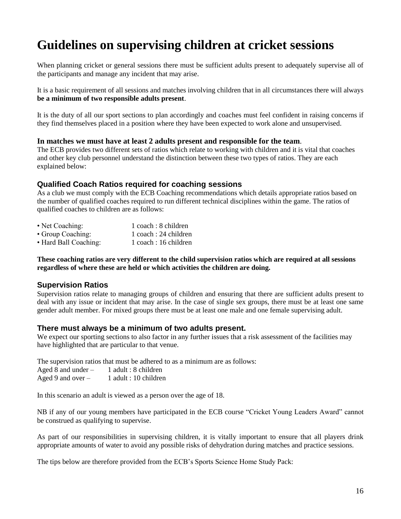# **Guidelines on supervising children at cricket sessions**

When planning cricket or general sessions there must be sufficient adults present to adequately supervise all of the participants and manage any incident that may arise.

It is a basic requirement of all sessions and matches involving children that in all circumstances there will always **be a minimum of two responsible adults present**.

It is the duty of all our sport sections to plan accordingly and coaches must feel confident in raising concerns if they find themselves placed in a position where they have been expected to work alone and unsupervised.

#### **In matches we must have at least 2 adults present and responsible for the team**.

The ECB provides two different sets of ratios which relate to working with children and it is vital that coaches and other key club personnel understand the distinction between these two types of ratios. They are each explained below:

#### **Qualified Coach Ratios required for coaching sessions**

As a club we must comply with the ECB Coaching recommendations which details appropriate ratios based on the number of qualified coaches required to run different technical disciplines within the game. The ratios of qualified coaches to children are as follows:

| • Net Coaching:   | $1$ coach : 8 children |
|-------------------|------------------------|
| • Group Coaching: | 1 coach : 24 children  |
|                   |                        |

• Hard Ball Coaching: 1 coach : 16 children

#### **These coaching ratios are very different to the child supervision ratios which are required at all sessions regardless of where these are held or which activities the children are doing.**

#### **Supervision Ratios**

Supervision ratios relate to managing groups of children and ensuring that there are sufficient adults present to deal with any issue or incident that may arise. In the case of single sex groups, there must be at least one same gender adult member. For mixed groups there must be at least one male and one female supervising adult.

#### **There must always be a minimum of two adults present.**

We expect our sporting sections to also factor in any further issues that a risk assessment of the facilities may have highlighted that are particular to that venue.

The supervision ratios that must be adhered to as a minimum are as follows:

| Aged 8 and under $-$ | 1 adult : 8 children  |
|----------------------|-----------------------|
| Aged 9 and over $-$  | 1 adult : 10 children |

In this scenario an adult is viewed as a person over the age of 18.

NB if any of our young members have participated in the ECB course "Cricket Young Leaders Award" cannot be construed as qualifying to supervise.

As part of our responsibilities in supervising children, it is vitally important to ensure that all players drink appropriate amounts of water to avoid any possible risks of dehydration during matches and practice sessions.

The tips below are therefore provided from the ECB's Sports Science Home Study Pack: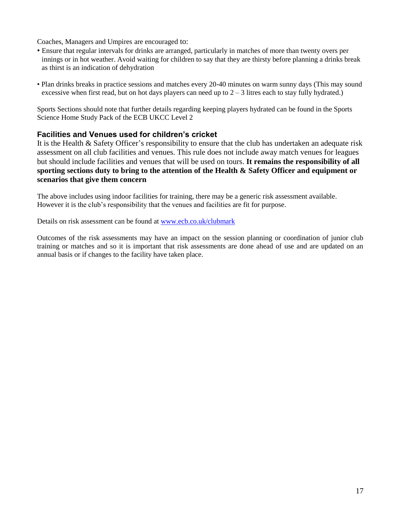Coaches, Managers and Umpires are encouraged to:

- Ensure that regular intervals for drinks are arranged, particularly in matches of more than twenty overs per innings or in hot weather. Avoid waiting for children to say that they are thirsty before planning a drinks break as thirst is an indication of dehydration
- Plan drinks breaks in practice sessions and matches every 20-40 minutes on warm sunny days (This may sound excessive when first read, but on hot days players can need up to  $2 - 3$  litres each to stay fully hydrated.)

Sports Sections should note that further details regarding keeping players hydrated can be found in the Sports Science Home Study Pack of the ECB UKCC Level 2

### **Facilities and Venues used for children's cricket**

It is the Health & Safety Officer's responsibility to ensure that the club has undertaken an adequate risk assessment on all club facilities and venues. This rule does not include away match venues for leagues but should include facilities and venues that will be used on tours. **It remains the responsibility of all sporting sections duty to bring to the attention of the Health & Safety Officer and equipment or scenarios that give them concern**

The above includes using indoor facilities for training, there may be a generic risk assessment available. However it is the club's responsibility that the venues and facilities are fit for purpose.

Details on risk assessment can be found at [www.ecb.co.uk/clubmark](http://www.ecb.co.uk/clubmark)

Outcomes of the risk assessments may have an impact on the session planning or coordination of junior club training or matches and so it is important that risk assessments are done ahead of use and are updated on an annual basis or if changes to the facility have taken place.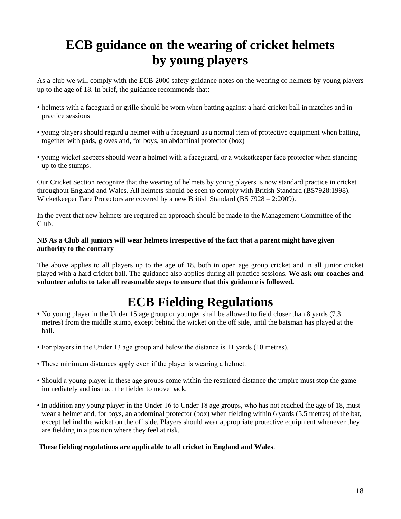# **ECB guidance on the wearing of cricket helmets by young players**

As a club we will comply with the ECB 2000 safety guidance notes on the wearing of helmets by young players up to the age of 18. In brief, the guidance recommends that:

- helmets with a faceguard or grille should be worn when batting against a hard cricket ball in matches and in practice sessions
- young players should regard a helmet with a faceguard as a normal item of protective equipment when batting, together with pads, gloves and, for boys, an abdominal protector (box)
- young wicket keepers should wear a helmet with a faceguard, or a wicketkeeper face protector when standing up to the stumps.

Our Cricket Section recognize that the wearing of helmets by young players is now standard practice in cricket throughout England and Wales. All helmets should be seen to comply with British Standard (BS7928:1998). Wicketkeeper Face Protectors are covered by a new British Standard (BS 7928 – 2:2009).

In the event that new helmets are required an approach should be made to the Management Committee of the Club.

#### **NB As a Club all juniors will wear helmets irrespective of the fact that a parent might have given authority to the contrary**

The above applies to all players up to the age of 18, both in open age group cricket and in all junior cricket played with a hard cricket ball. The guidance also applies during all practice sessions. **We ask our coaches and volunteer adults to take all reasonable steps to ensure that this guidance is followed.**

### **ECB Fielding Regulations**

- No young player in the Under 15 age group or younger shall be allowed to field closer than 8 yards (7.3 metres) from the middle stump, except behind the wicket on the off side, until the batsman has played at the ball.
- For players in the Under 13 age group and below the distance is 11 yards (10 metres).
- These minimum distances apply even if the player is wearing a helmet.
- Should a young player in these age groups come within the restricted distance the umpire must stop the game immediately and instruct the fielder to move back.
- In addition any young player in the Under 16 to Under 18 age groups, who has not reached the age of 18, must wear a helmet and, for boys, an abdominal protector (box) when fielding within 6 yards (5.5 metres) of the bat, except behind the wicket on the off side. Players should wear appropriate protective equipment whenever they are fielding in a position where they feel at risk.

#### **These fielding regulations are applicable to all cricket in England and Wales**.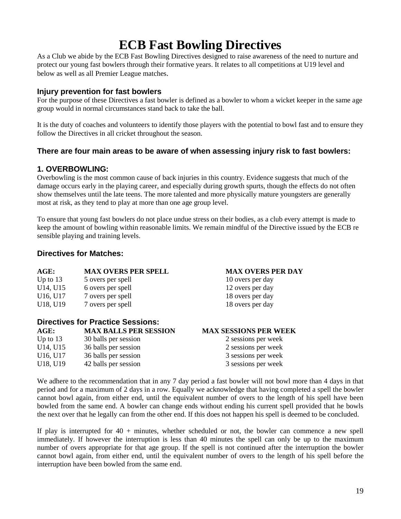# **ECB Fast Bowling Directives**

As a Club we abide by the ECB Fast Bowling Directives designed to raise awareness of the need to nurture and protect our young fast bowlers through their formative years. It relates to all competitions at U19 level and below as well as all Premier League matches.

#### **Injury prevention for fast bowlers**

For the purpose of these Directives a fast bowler is defined as a bowler to whom a wicket keeper in the same age group would in normal circumstances stand back to take the ball.

It is the duty of coaches and volunteers to identify those players with the potential to bowl fast and to ensure they follow the Directives in all cricket throughout the season.

#### **There are four main areas to be aware of when assessing injury risk to fast bowlers:**

#### **1. OVERBOWLING:**

Overbowling is the most common cause of back injuries in this country. Evidence suggests that much of the damage occurs early in the playing career, and especially during growth spurts, though the effects do not often show themselves until the late teens. The more talented and more physically mature youngsters are generally most at risk, as they tend to play at more than one age group level.

To ensure that young fast bowlers do not place undue stress on their bodies, as a club every attempt is made to keep the amount of bowling within reasonable limits. We remain mindful of the Directive issued by the ECB re sensible playing and training levels.

#### **Directives for Matches:**

| AGE:                              | <b>MAX OVERS PER SPELL</b> | <b>MAX OVERS PER DAY</b> |  |
|-----------------------------------|----------------------------|--------------------------|--|
| Up to $13$                        | 5 overs per spell          | 10 overs per day         |  |
| U14, U15                          | 6 overs per spell          | 12 overs per day         |  |
| U16, U17                          | 7 overs per spell          | 18 overs per day         |  |
| U18, U19                          | 7 overs per spell          | 18 overs per day         |  |
| Directives for Practice Sessions: |                            |                          |  |

| <b>MAX BALLS PER SESSION</b> | <b>MAX SESSIONS PER WEEK</b> |  |  |
|------------------------------|------------------------------|--|--|
| 30 balls per session         | 2 sessions per week          |  |  |
| 36 balls per session         | 2 sessions per week          |  |  |
| 36 balls per session         | 3 sessions per week          |  |  |
| 42 balls per session         | 3 sessions per week          |  |  |
|                              |                              |  |  |

We adhere to the recommendation that in any 7 day period a fast bowler will not bowl more than 4 days in that period and for a maximum of 2 days in a row. Equally we acknowledge that having completed a spell the bowler cannot bowl again, from either end, until the equivalent number of overs to the length of his spell have been bowled from the same end. A bowler can change ends without ending his current spell provided that he bowls the next over that he legally can from the other end. If this does not happen his spell is deemed to be concluded.

If play is interrupted for  $40 + \text{minutes}$ , whether scheduled or not, the bowler can commence a new spell immediately. If however the interruption is less than 40 minutes the spell can only be up to the maximum number of overs appropriate for that age group. If the spell is not continued after the interruption the bowler cannot bowl again, from either end, until the equivalent number of overs to the length of his spell before the interruption have been bowled from the same end.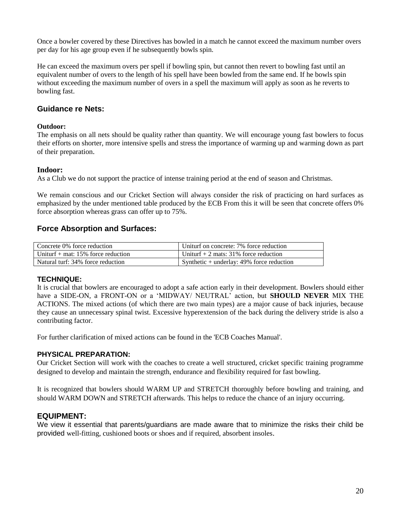Once a bowler covered by these Directives has bowled in a match he cannot exceed the maximum number overs per day for his age group even if he subsequently bowls spin.

He can exceed the maximum overs per spell if bowling spin, but cannot then revert to bowling fast until an equivalent number of overs to the length of his spell have been bowled from the same end. If he bowls spin without exceeding the maximum number of overs in a spell the maximum will apply as soon as he reverts to bowling fast.

#### **Guidance re Nets:**

#### **Outdoor:**

The emphasis on all nets should be quality rather than quantity. We will encourage young fast bowlers to focus their efforts on shorter, more intensive spells and stress the importance of warming up and warming down as part of their preparation.

#### **Indoor:**

As a Club we do not support the practice of intense training period at the end of season and Christmas.

We remain conscious and our Cricket Section will always consider the risk of practicing on hard surfaces as emphasized by the under mentioned table produced by the ECB From this it will be seen that concrete offers 0% force absorption whereas grass can offer up to 75%.

### **Force Absorption and Surfaces:**

| Concrete 0% force reduction          | Uniturf on concrete: 7% force reduction     |
|--------------------------------------|---------------------------------------------|
| Uniturf $+$ mat: 15% force reduction | Uniturf $+ 2$ mats: 31% force reduction     |
| Natural turf: 34% force reduction    | Synthetic $+$ underlay: 49% force reduction |

#### **TECHNIQUE:**

It is crucial that bowlers are encouraged to adopt a safe action early in their development. Bowlers should either have a SIDE-ON, a FRONT-ON or a 'MIDWAY/ NEUTRAL' action, but **SHOULD NEVER** MIX THE ACTIONS. The mixed actions (of which there are two main types) are a major cause of back injuries, because they cause an unnecessary spinal twist. Excessive hyperextension of the back during the delivery stride is also a contributing factor.

For further clarification of mixed actions can be found in the 'ECB Coaches Manual'.

#### **PHYSICAL PREPARATION:**

Our Cricket Section will work with the coaches to create a well structured, cricket specific training programme designed to develop and maintain the strength, endurance and flexibility required for fast bowling.

It is recognized that bowlers should WARM UP and STRETCH thoroughly before bowling and training, and should WARM DOWN and STRETCH afterwards. This helps to reduce the chance of an injury occurring.

#### **EQUIPMENT:**

We view it essential that parents/guardians are made aware that to minimize the risks their child be provided well-fitting, cushioned boots or shoes and if required, absorbent insoles.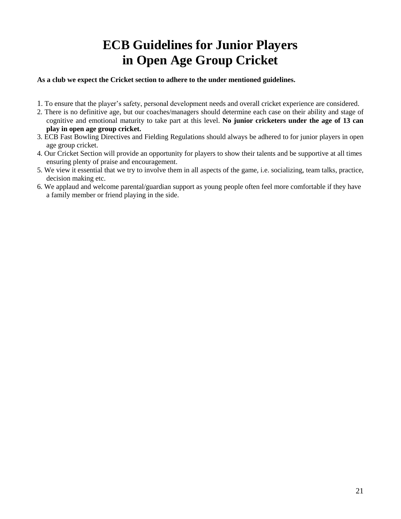# **ECB Guidelines for Junior Players in Open Age Group Cricket**

#### **As a club we expect the Cricket section to adhere to the under mentioned guidelines.**

- 1. To ensure that the player's safety, personal development needs and overall cricket experience are considered.
- 2. There is no definitive age, but our coaches/managers should determine each case on their ability and stage of cognitive and emotional maturity to take part at this level. **No junior cricketers under the age of 13 can play in open age group cricket.**
- 3. ECB Fast Bowling Directives and Fielding Regulations should always be adhered to for junior players in open age group cricket.
- 4. Our Cricket Section will provide an opportunity for players to show their talents and be supportive at all times ensuring plenty of praise and encouragement.
- 5. We view it essential that we try to involve them in all aspects of the game, i.e. socializing, team talks, practice, decision making etc.
- 6. We applaud and welcome parental/guardian support as young people often feel more comfortable if they have a family member or friend playing in the side.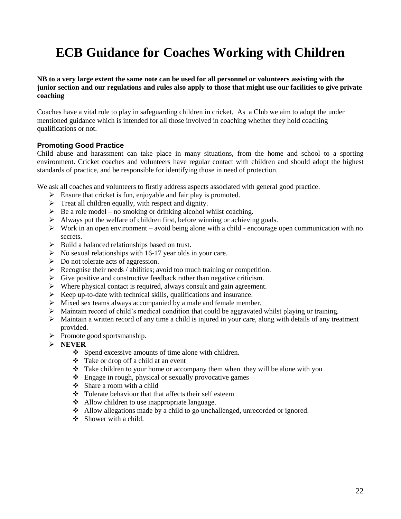# **ECB Guidance for Coaches Working with Children**

#### **NB to a very large extent the same note can be used for all personnel or volunteers assisting with the junior section and our regulations and rules also apply to those that might use our facilities to give private coaching**

Coaches have a vital role to play in safeguarding children in cricket. As a Club we aim to adopt the under mentioned guidance which is intended for all those involved in coaching whether they hold coaching qualifications or not.

#### **Promoting Good Practice**

Child abuse and harassment can take place in many situations, from the home and school to a sporting environment. Cricket coaches and volunteers have regular contact with children and should adopt the highest standards of practice, and be responsible for identifying those in need of protection.

We ask all coaches and volunteers to firstly address aspects associated with general good practice.

- $\triangleright$  Ensure that cricket is fun, enjoyable and fair play is promoted.
- $\triangleright$  Treat all children equally, with respect and dignity.
- $\triangleright$  Be a role model no smoking or drinking alcohol whilst coaching.
- $\triangleright$  Always put the welfare of children first, before winning or achieving goals.
- $\triangleright$  Work in an open environment avoid being alone with a child encourage open communication with no secrets.
- Build a balanced relationships based on trust.
- $\triangleright$  No sexual relationships with 16-17 year olds in your care.
- $\triangleright$  Do not tolerate acts of aggression.
- $\triangleright$  Recognise their needs / abilities; avoid too much training or competition.
- $\triangleright$  Give positive and constructive feedback rather than negative criticism.
- $\triangleright$  Where physical contact is required, always consult and gain agreement.
- $\triangleright$  Keep up-to-date with technical skills, qualifications and insurance.
- $\triangleright$  Mixed sex teams always accompanied by a male and female member.
- Maintain record of child's medical condition that could be aggravated whilst playing or training.
- $\triangleright$  Maintain a written record of any time a child is injured in your care, along with details of any treatment provided.
- $\triangleright$  Promote good sportsmanship.
- **NEVER**
	- Spend excessive amounts of time alone with children.
	- Take or drop off a child at an event
	- $\hat{\cdot}$  Take children to your home or accompany them when they will be alone with you
	- Engage in rough, physical or sexually provocative games
	- Share a room with a child
	- Tolerate behaviour that that affects their self esteem
	- Allow children to use inappropriate language.
	- Allow allegations made by a child to go unchallenged, unrecorded or ignored.
	- $\div$  Shower with a child.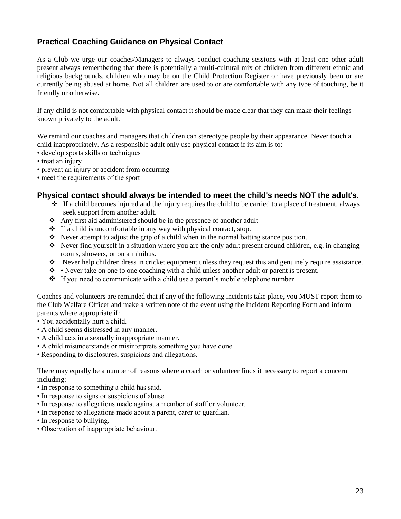### **Practical Coaching Guidance on Physical Contact**

As a Club we urge our coaches/Managers to always conduct coaching sessions with at least one other adult present always remembering that there is potentially a multi-cultural mix of children from different ethnic and religious backgrounds, children who may be on the Child Protection Register or have previously been or are currently being abused at home. Not all children are used to or are comfortable with any type of touching, be it friendly or otherwise.

If any child is not comfortable with physical contact it should be made clear that they can make their feelings known privately to the adult.

We remind our coaches and managers that children can stereotype people by their appearance. Never touch a child inappropriately. As a responsible adult only use physical contact if its aim is to:

- develop sports skills or techniques
- treat an injury
- prevent an injury or accident from occurring
- meet the requirements of the sport

#### **Physical contact should always be intended to meet the child's needs NOT the adult's.**

- $\div$  If a child becomes injured and the injury requires the child to be carried to a place of treatment, always seek support from another adult.
- Any first aid administered should be in the presence of another adult
- $\cdot \cdot$  If a child is uncomfortable in any way with physical contact, stop.
- Never attempt to adjust the grip of a child when in the normal batting stance position.
- Never find yourself in a situation where you are the only adult present around children, e.g. in changing rooms, showers, or on a minibus.
- Never help children dress in cricket equipment unless they request this and genuinely require assistance.
- Never take on one to one coaching with a child unless another adult or parent is present.
- $\div$  If you need to communicate with a child use a parent's mobile telephone number.

Coaches and volunteers are reminded that if any of the following incidents take place, you MUST report them to the Club Welfare Officer and make a written note of the event using the Incident Reporting Form and inform parents where appropriate if:

- You accidentally hurt a child.
- A child seems distressed in any manner.
- A child acts in a sexually inappropriate manner.
- A child misunderstands or misinterprets something you have done.
- Responding to disclosures, suspicions and allegations.

There may equally be a number of reasons where a coach or volunteer finds it necessary to report a concern including:

- In response to something a child has said.
- In response to signs or suspicions of abuse.
- In response to allegations made against a member of staff or volunteer.
- In response to allegations made about a parent, carer or guardian.
- In response to bullying.
- Observation of inappropriate behaviour.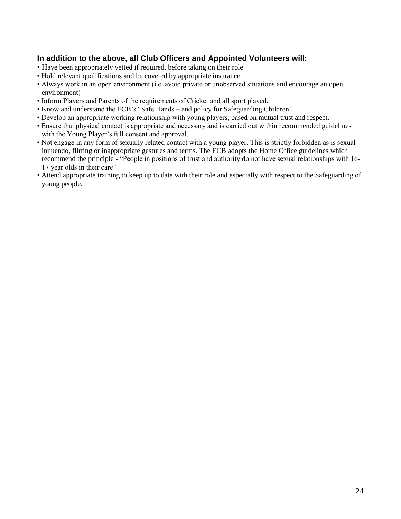### **In addition to the above, all Club Officers and Appointed Volunteers will:**

- Have been appropriately vetted if required, before taking on their role
- Hold relevant qualifications and be covered by appropriate insurance
- Always work in an open environment (i.e. avoid private or unobserved situations and encourage an open environment)
- Inform Players and Parents of the requirements of Cricket and all sport played.
- Know and understand the ECB's "Safe Hands and policy for Safeguarding Children"
- Develop an appropriate working relationship with young players, based on mutual trust and respect.
- Ensure that physical contact is appropriate and necessary and is carried out within recommended guidelines with the Young Player's full consent and approval.
- Not engage in any form of sexually related contact with a young player. This is strictly forbidden as is sexual innuendo, flirting or inappropriate gestures and terms. The ECB adopts the Home Office guidelines which recommend the principle - "People in positions of trust and authority do not have sexual relationships with 16- 17 year olds in their care"
- Attend appropriate training to keep up to date with their role and especially with respect to the Safeguarding of young people.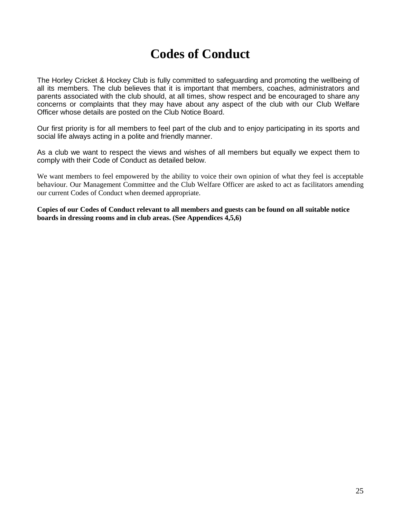## **Codes of Conduct**

The Horley Cricket & Hockey Club is fully committed to safeguarding and promoting the wellbeing of all its members. The club believes that it is important that members, coaches, administrators and parents associated with the club should, at all times, show respect and be encouraged to share any concerns or complaints that they may have about any aspect of the club with our Club Welfare Officer whose details are posted on the Club Notice Board.

Our first priority is for all members to feel part of the club and to enjoy participating in its sports and social life always acting in a polite and friendly manner.

As a club we want to respect the views and wishes of all members but equally we expect them to comply with their Code of Conduct as detailed below.

We want members to feel empowered by the ability to voice their own opinion of what they feel is acceptable behaviour. Our Management Committee and the Club Welfare Officer are asked to act as facilitators amending our current Codes of Conduct when deemed appropriate.

**Copies of our Codes of Conduct relevant to all members and guests can be found on all suitable notice boards in dressing rooms and in club areas. (See Appendices 4,5,6)**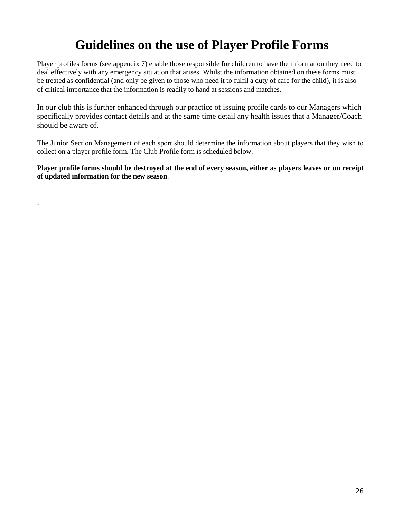# **Guidelines on the use of Player Profile Forms**

Player profiles forms (see appendix 7) enable those responsible for children to have the information they need to deal effectively with any emergency situation that arises. Whilst the information obtained on these forms must be treated as confidential (and only be given to those who need it to fulfil a duty of care for the child), it is also of critical importance that the information is readily to hand at sessions and matches.

In our club this is further enhanced through our practice of issuing profile cards to our Managers which specifically provides contact details and at the same time detail any health issues that a Manager/Coach should be aware of.

The Junior Section Management of each sport should determine the information about players that they wish to collect on a player profile form. The Club Profile form is scheduled below.

**Player profile forms should be destroyed at the end of every season, either as players leaves or on receipt of updated information for the new season**.

.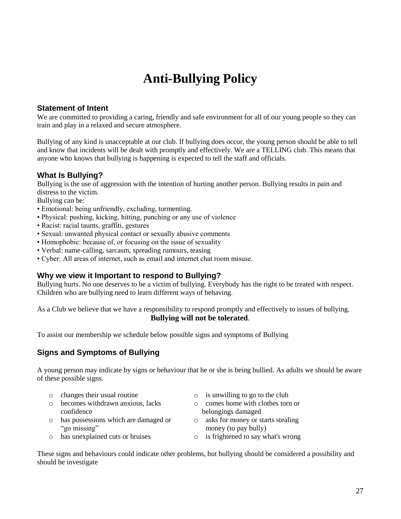# **Anti-Bullying Policy**

#### **Statement of Intent**

We are committed to providing a caring, friendly and safe environment for all of our young people so they can train and play in a relaxed and secure atmosphere.

Bullying of any kind is unacceptable at our club. If bullying does occur, the young person should be able to tell and know that incidents will be dealt with promptly and effectively. We are a TELLING club. This means that anyone who knows that bullying is happening is expected to tell the staff and officials.

### **What Is Bullying?**

Bullying is the use of aggression with the intention of hurting another person. Bullying results in pain and distress to the victim.

Bullying can be:

- Emotional: being unfriendly, excluding, tormenting.
- Physical: pushing, kicking, hitting, punching or any use of violence
- Racist: racial taunts, graffiti, gestures
- Sexual: unwanted physical contact or sexually abusive comments
- Homophobic: because of, or focusing on the issue of sexuality
- Verbal: name-calling, sarcasm, spreading rumours, teasing
- Cyber: All areas of internet, such as email and internet chat room misuse.

#### **Why we view it Important to respond to Bullying?**

Bullying hurts. No one deserves to be a victim of bullying. Everybody has the right to be treated with respect. Children who are bullying need to learn different ways of behaving.

As a Club we believe that we have a responsibility to respond promptly and effectively to issues of bullying. **Bullying will not be tolerated**.

To assist our membership we schedule below possible signs and symptoms of Bullying

### **Signs and Symptoms of Bullying**

A young person may indicate by signs or behaviour that he or she is being bullied. As adults we should be aware of these possible signs.

- 
- o becomes withdrawn anxious, lacks confidence
- o has possessions which are damaged or "go missing"
- 
- $\circ$  changes their usual routine  $\circ$  is unwilling to go to the club
	- o comes home with clothes torn or belongings damaged
	- o asks for money or starts stealing money (to pay bully)
- o has unexplained cuts or bruises o is frightened to say what's wrong

These signs and behaviours could indicate other problems, but bullying should be considered a possibility and should be investigate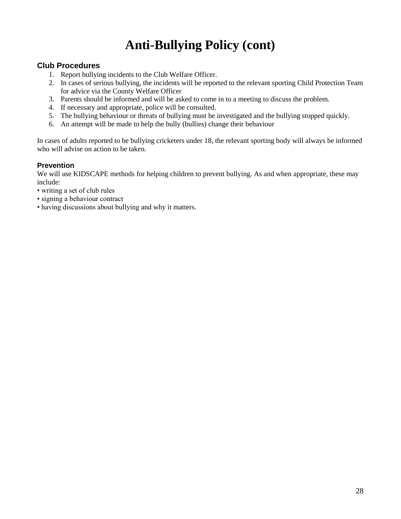# **Anti-Bullying Policy (cont)**

#### **Club Procedures**

- 1. Report bullying incidents to the Club Welfare Officer.
- 2. In cases of serious bullying, the incidents will be reported to the relevant sporting Child Protection Team for advice via the County Welfare Officer
- 3. Parents should be informed and will be asked to come in to a meeting to discuss the problem.
- 4. If necessary and appropriate, police will be consulted.
- 5. The bullying behaviour or threats of bullying must be investigated and the bullying stopped quickly.
- 6. An attempt will be made to help the bully (bullies) change their behaviour

In cases of adults reported to be bullying cricketers under 18, the relevant sporting body will always be informed who will advise on action to be taken.

#### **Prevention**

We will use KIDSCAPE methods for helping children to prevent bullying. As and when appropriate, these may include:

- writing a set of club rules
- signing a behaviour contract
- having discussions about bullying and why it matters.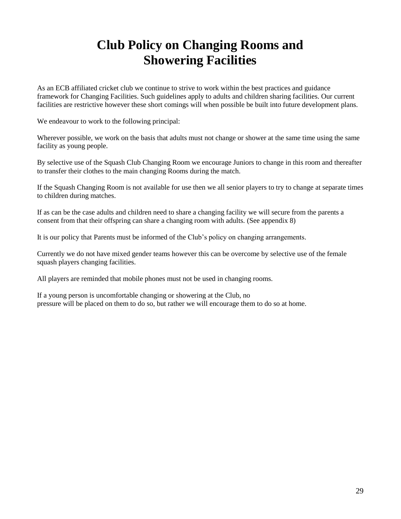# **Club Policy on Changing Rooms and Showering Facilities**

As an ECB affiliated cricket club we continue to strive to work within the best practices and guidance framework for Changing Facilities. Such guidelines apply to adults and children sharing facilities. Our current facilities are restrictive however these short comings will when possible be built into future development plans.

We endeavour to work to the following principal:

Wherever possible, we work on the basis that adults must not change or shower at the same time using the same facility as young people.

By selective use of the Squash Club Changing Room we encourage Juniors to change in this room and thereafter to transfer their clothes to the main changing Rooms during the match.

If the Squash Changing Room is not available for use then we all senior players to try to change at separate times to children during matches.

If as can be the case adults and children need to share a changing facility we will secure from the parents a consent from that their offspring can share a changing room with adults. (See appendix 8)

It is our policy that Parents must be informed of the Club's policy on changing arrangements.

Currently we do not have mixed gender teams however this can be overcome by selective use of the female squash players changing facilities.

All players are reminded that mobile phones must not be used in changing rooms.

If a young person is uncomfortable changing or showering at the Club, no pressure will be placed on them to do so, but rather we will encourage them to do so at home.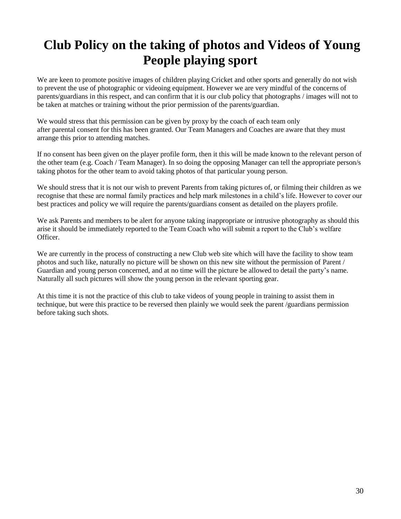# **Club Policy on the taking of photos and Videos of Young People playing sport**

We are keen to promote positive images of children playing Cricket and other sports and generally do not wish to prevent the use of photographic or videoing equipment. However we are very mindful of the concerns of parents/guardians in this respect, and can confirm that it is our club policy that photographs / images will not to be taken at matches or training without the prior permission of the parents/guardian.

We would stress that this permission can be given by proxy by the coach of each team only after parental consent for this has been granted. Our Team Managers and Coaches are aware that they must arrange this prior to attending matches.

If no consent has been given on the player profile form, then it this will be made known to the relevant person of the other team (e.g. Coach / Team Manager). In so doing the opposing Manager can tell the appropriate person/s taking photos for the other team to avoid taking photos of that particular young person.

We should stress that it is not our wish to prevent Parents from taking pictures of, or filming their children as we recognise that these are normal family practices and help mark milestones in a child's life. However to cover our best practices and policy we will require the parents/guardians consent as detailed on the players profile.

We ask Parents and members to be alert for anyone taking inappropriate or intrusive photography as should this arise it should be immediately reported to the Team Coach who will submit a report to the Club's welfare Officer.

We are currently in the process of constructing a new Club web site which will have the facility to show team photos and such like, naturally no picture will be shown on this new site without the permission of Parent / Guardian and young person concerned, and at no time will the picture be allowed to detail the party's name. Naturally all such pictures will show the young person in the relevant sporting gear.

At this time it is not the practice of this club to take videos of young people in training to assist them in technique, but were this practice to be reversed then plainly we would seek the parent /guardians permission before taking such shots.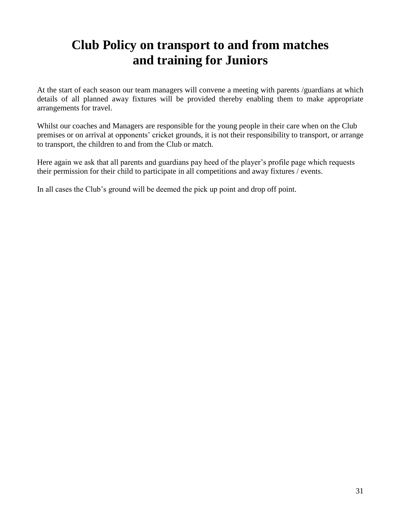### **Club Policy on transport to and from matches and training for Juniors**

At the start of each season our team managers will convene a meeting with parents /guardians at which details of all planned away fixtures will be provided thereby enabling them to make appropriate arrangements for travel.

Whilst our coaches and Managers are responsible for the young people in their care when on the Club premises or on arrival at opponents' cricket grounds, it is not their responsibility to transport, or arrange to transport, the children to and from the Club or match.

Here again we ask that all parents and guardians pay heed of the player's profile page which requests their permission for their child to participate in all competitions and away fixtures / events.

In all cases the Club's ground will be deemed the pick up point and drop off point.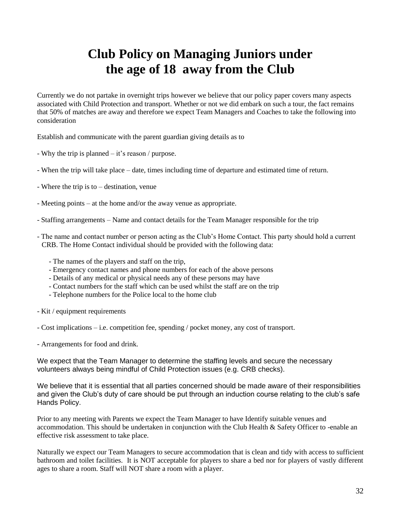### **Club Policy on Managing Juniors under the age of 18 away from the Club**

Currently we do not partake in overnight trips however we believe that our policy paper covers many aspects associated with Child Protection and transport. Whether or not we did embark on such a tour, the fact remains that 50% of matches are away and therefore we expect Team Managers and Coaches to take the following into consideration

Establish and communicate with the parent guardian giving details as to

- Why the trip is planned it's reason / purpose.
- When the trip will take place date, times including time of departure and estimated time of return.
- Where the trip is to destination, venue
- Meeting points at the home and/or the away venue as appropriate.
- Staffing arrangements Name and contact details for the Team Manager responsible for the trip
- The name and contact number or person acting as the Club's Home Contact. This party should hold a current CRB. The Home Contact individual should be provided with the following data:
	- The names of the players and staff on the trip,
	- Emergency contact names and phone numbers for each of the above persons
	- Details of any medical or physical needs any of these persons may have
	- Contact numbers for the staff which can be used whilst the staff are on the trip
	- Telephone numbers for the Police local to the home club
- Kit / equipment requirements
- Cost implications i.e. competition fee, spending / pocket money, any cost of transport.
- Arrangements for food and drink.

We expect that the Team Manager to determine the staffing levels and secure the necessary volunteers always being mindful of Child Protection issues (e.g. CRB checks).

We believe that it is essential that all parties concerned should be made aware of their responsibilities and given the Club's duty of care should be put through an induction course relating to the club's safe Hands Policy.

Prior to any meeting with Parents we expect the Team Manager to have Identify suitable venues and accommodation. This should be undertaken in conjunction with the Club Health & Safety Officer to -enable an effective risk assessment to take place.

Naturally we expect our Team Managers to secure accommodation that is clean and tidy with access to sufficient bathroom and toilet facilities. It is NOT acceptable for players to share a bed nor for players of vastly different ages to share a room. Staff will NOT share a room with a player.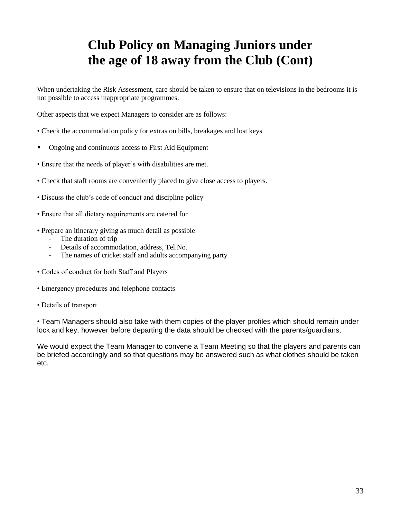# **Club Policy on Managing Juniors under the age of 18 away from the Club (Cont)**

When undertaking the Risk Assessment, care should be taken to ensure that on televisions in the bedrooms it is not possible to access inappropriate programmes.

Other aspects that we expect Managers to consider are as follows:

- Check the accommodation policy for extras on bills, breakages and lost keys
- Ongoing and continuous access to First Aid Equipment
- Ensure that the needs of player's with disabilities are met.
- Check that staff rooms are conveniently placed to give close access to players.
- Discuss the club's code of conduct and discipline policy
- Ensure that all dietary requirements are catered for
- Prepare an itinerary giving as much detail as possible
	- The duration of trip
	- Details of accommodation, address, Tel.No.
	- The names of cricket staff and adults accompanying party
- • Codes of conduct for both Staff and Players
- Emergency procedures and telephone contacts
- Details of transport

• Team Managers should also take with them copies of the player profiles which should remain under lock and key, however before departing the data should be checked with the parents/guardians.

We would expect the Team Manager to convene a Team Meeting so that the players and parents can be briefed accordingly and so that questions may be answered such as what clothes should be taken etc.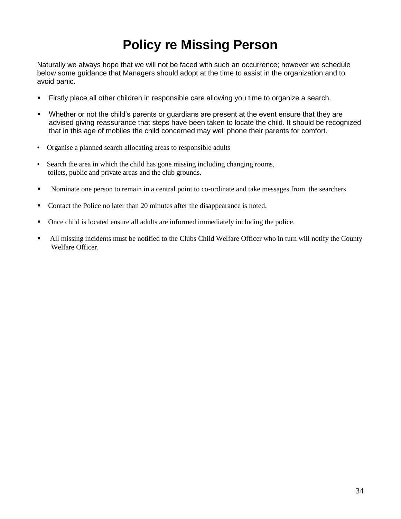# **Policy re Missing Person**

Naturally we always hope that we will not be faced with such an occurrence; however we schedule below some guidance that Managers should adopt at the time to assist in the organization and to avoid panic.

- Firstly place all other children in responsible care allowing you time to organize a search.
- Whether or not the child's parents or guardians are present at the event ensure that they are advised giving reassurance that steps have been taken to locate the child. It should be recognized that in this age of mobiles the child concerned may well phone their parents for comfort.
- Organise a planned search allocating areas to responsible adults
- Search the area in which the child has gone missing including changing rooms, toilets, public and private areas and the club grounds.
- Nominate one person to remain in a central point to co-ordinate and take messages from the searchers
- Contact the Police no later than 20 minutes after the disappearance is noted.
- Once child is located ensure all adults are informed immediately including the police.
- All missing incidents must be notified to the Clubs Child Welfare Officer who in turn will notify the County Welfare Officer.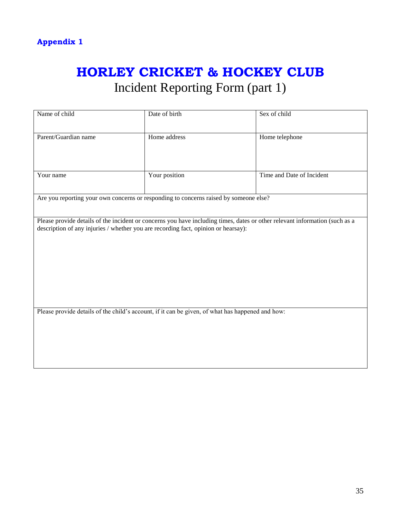# **HORLEY CRICKET & HOCKEY CLUB** Incident Reporting Form (part 1)

| Name of child                                                                                                                                                                                                     | Date of birth                                                                         | Sex of child              |  |
|-------------------------------------------------------------------------------------------------------------------------------------------------------------------------------------------------------------------|---------------------------------------------------------------------------------------|---------------------------|--|
| Parent/Guardian name                                                                                                                                                                                              | Home address                                                                          | Home telephone            |  |
| Your name                                                                                                                                                                                                         | Your position                                                                         | Time and Date of Incident |  |
|                                                                                                                                                                                                                   | Are you reporting your own concerns or responding to concerns raised by someone else? |                           |  |
| Please provide details of the incident or concerns you have including times, dates or other relevant information (such as a<br>description of any injuries / whether you are recording fact, opinion or hearsay): |                                                                                       |                           |  |
| Please provide details of the child's account, if it can be given, of what has happened and how:                                                                                                                  |                                                                                       |                           |  |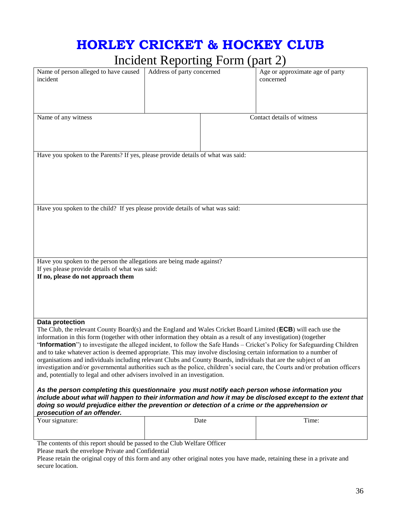# **HORLEY CRICKET & HOCKEY CLUB**

### Incident Reporting Form (part 2)

|                                                                                                                                                                                                                                       | $\frac{1}{2}$              |  | .,                                           |
|---------------------------------------------------------------------------------------------------------------------------------------------------------------------------------------------------------------------------------------|----------------------------|--|----------------------------------------------|
| Name of person alleged to have caused<br>incident                                                                                                                                                                                     | Address of party concerned |  | Age or approximate age of party<br>concerned |
|                                                                                                                                                                                                                                       |                            |  |                                              |
| Name of any witness                                                                                                                                                                                                                   |                            |  | Contact details of witness                   |
|                                                                                                                                                                                                                                       |                            |  |                                              |
|                                                                                                                                                                                                                                       |                            |  |                                              |
|                                                                                                                                                                                                                                       |                            |  |                                              |
| Have you spoken to the Parents? If yes, please provide details of what was said:                                                                                                                                                      |                            |  |                                              |
|                                                                                                                                                                                                                                       |                            |  |                                              |
|                                                                                                                                                                                                                                       |                            |  |                                              |
|                                                                                                                                                                                                                                       |                            |  |                                              |
|                                                                                                                                                                                                                                       |                            |  |                                              |
| Have you spoken to the child? If yes please provide details of what was said:                                                                                                                                                         |                            |  |                                              |
|                                                                                                                                                                                                                                       |                            |  |                                              |
|                                                                                                                                                                                                                                       |                            |  |                                              |
|                                                                                                                                                                                                                                       |                            |  |                                              |
|                                                                                                                                                                                                                                       |                            |  |                                              |
|                                                                                                                                                                                                                                       |                            |  |                                              |
| Have you spoken to the person the allegations are being made against?<br>If yes please provide details of what was said:                                                                                                              |                            |  |                                              |
| If no, please do not approach them                                                                                                                                                                                                    |                            |  |                                              |
|                                                                                                                                                                                                                                       |                            |  |                                              |
|                                                                                                                                                                                                                                       |                            |  |                                              |
|                                                                                                                                                                                                                                       |                            |  |                                              |
| Data protection                                                                                                                                                                                                                       |                            |  |                                              |
| The Club, the relevant County Board(s) and the England and Wales Cricket Board Limited (ECB) will each use the                                                                                                                        |                            |  |                                              |
| information in this form (together with other information they obtain as a result of any investigation) (together                                                                                                                     |                            |  |                                              |
| "Information") to investigate the alleged incident, to follow the Safe Hands – Cricket's Policy for Safeguarding Children                                                                                                             |                            |  |                                              |
| and to take whatever action is deemed appropriate. This may involve disclosing certain information to a number of<br>organisations and individuals including relevant Clubs and County Boards, individuals that are the subject of an |                            |  |                                              |
| investigation and/or governmental authorities such as the police, children's social care, the Courts and/or probation officers                                                                                                        |                            |  |                                              |
| and, potentially to legal and other advisers involved in an investigation.                                                                                                                                                            |                            |  |                                              |
| As the person completing this questionnaire you must notify each person whose information you                                                                                                                                         |                            |  |                                              |
| include about what will happen to their information and how it may be disclosed except to the extent that                                                                                                                             |                            |  |                                              |
| doing so would prejudice either the prevention or detection of a crime or the apprehension or                                                                                                                                         |                            |  |                                              |
| prosecution of an offender.<br>Date                                                                                                                                                                                                   |                            |  |                                              |
| Your signature:                                                                                                                                                                                                                       |                            |  | Time:                                        |
|                                                                                                                                                                                                                                       |                            |  |                                              |
| The contents of this report should be passed to the Club Welfare Officer                                                                                                                                                              |                            |  |                                              |
| Please mark the envelope Private and Confidential                                                                                                                                                                                     |                            |  |                                              |

Please retain the original copy of this form and any other original notes you have made, retaining these in a private and secure location.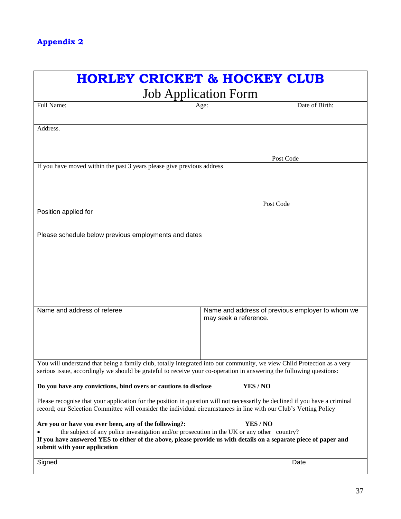| <b>HORLEY CRICKET &amp; HOCKEY CLUB</b>                                                                                                                                                                                                                                                                             |                                                                           |  |
|---------------------------------------------------------------------------------------------------------------------------------------------------------------------------------------------------------------------------------------------------------------------------------------------------------------------|---------------------------------------------------------------------------|--|
|                                                                                                                                                                                                                                                                                                                     | <b>Job Application Form</b>                                               |  |
| Full Name:                                                                                                                                                                                                                                                                                                          | Date of Birth:<br>Age:                                                    |  |
| Address.                                                                                                                                                                                                                                                                                                            |                                                                           |  |
|                                                                                                                                                                                                                                                                                                                     | Post Code                                                                 |  |
| If you have moved within the past 3 years please give previous address                                                                                                                                                                                                                                              |                                                                           |  |
|                                                                                                                                                                                                                                                                                                                     | Post Code                                                                 |  |
| Position applied for                                                                                                                                                                                                                                                                                                |                                                                           |  |
| Please schedule below previous employments and dates                                                                                                                                                                                                                                                                |                                                                           |  |
| Name and address of referee                                                                                                                                                                                                                                                                                         | Name and address of previous employer to whom we<br>may seek a reference. |  |
| You will understand that being a family club, totally integrated into our community, we view Child Protection as a very<br>serious issue, accordingly we should be grateful to receive your co-operation in answering the following questions:                                                                      |                                                                           |  |
| Do you have any convictions, bind overs or cautions to disclose                                                                                                                                                                                                                                                     | YES/NO                                                                    |  |
| Please recognise that your application for the position in question will not necessarily be declined if you have a criminal<br>record; our Selection Committee will consider the individual circumstances in line with our Club's Vetting Policy                                                                    |                                                                           |  |
| Are you or have you ever been, any of the following?:<br>YES / NO<br>the subject of any police investigation and/or prosecution in the UK or any other country?<br>If you have answered YES to either of the above, please provide us with details on a separate piece of paper and<br>submit with your application |                                                                           |  |
| Signed                                                                                                                                                                                                                                                                                                              | Date                                                                      |  |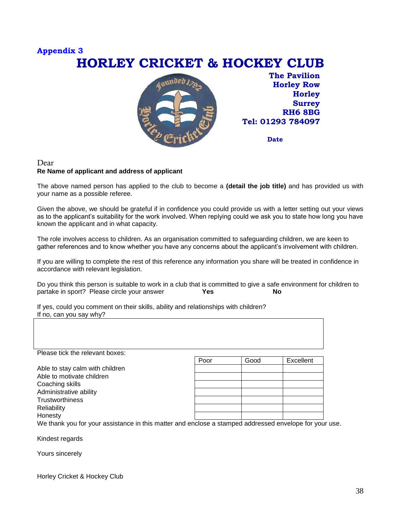### **Appendix 3 HORLEY CRICKET & HOCKEY CLUB**



**The Pavilion Horley Row Horley Surrey RH6 8BG Tel: 01293 784097**

**Date**

#### Dear **Re Name of applicant and address of applicant**

The above named person has applied to the club to become a **(detail the job title)** and has provided us with your name as a possible referee.

Given the above, we should be grateful if in confidence you could provide us with a letter setting out your views as to the applicant's suitability for the work involved. When replying could we ask you to state how long you have known the applicant and in what capacity.

The role involves access to children. As an organisation committed to safeguarding children, we are keen to gather references and to know whether you have any concerns about the applicant's involvement with children.

If you are willing to complete the rest of this reference any information you share will be treated in confidence in accordance with relevant legislation.

Do you think this person is suitable to work in a club that is committed to give a safe environment for children to partake in sport? Please circle your answer **Yes** No partake in sport? Please circle your answer

If yes, could you comment on their skills, ability and relationships with children? If no, can you say why?

| Please tick the relevant boxes: |      |      |           |
|---------------------------------|------|------|-----------|
|                                 | Poor | Good | Excellent |
| Able to stay calm with children |      |      |           |
| Able to motivate children       |      |      |           |
| Coaching skills                 |      |      |           |
| Administrative ability          |      |      |           |
| <b>Trustworthiness</b>          |      |      |           |
| Reliability                     |      |      |           |
| Honesty                         |      |      |           |

We thank you for your assistance in this matter and enclose a stamped addressed envelope for your use.

Kindest regards

Yours sincerely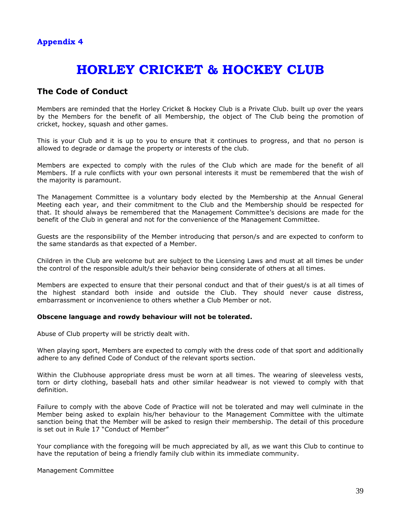### **HORLEY CRICKET & HOCKEY CLUB**

### **The Code of Conduct**

Members are reminded that the Horley Cricket & Hockey Club is a Private Club. built up over the years by the Members for the benefit of all Membership, the object of The Club being the promotion of cricket, hockey, squash and other games.

This is your Club and it is up to you to ensure that it continues to progress, and that no person is allowed to degrade or damage the property or interests of the club.

Members are expected to comply with the rules of the Club which are made for the benefit of all Members. If a rule conflicts with your own personal interests it must be remembered that the wish of the majority is paramount.

The Management Committee is a voluntary body elected by the Membership at the Annual General Meeting each year, and their commitment to the Club and the Membership should be respected for that. It should always be remembered that the Management Committee's decisions are made for the benefit of the Club in general and not for the convenience of the Management Committee.

Guests are the responsibility of the Member introducing that person/s and are expected to conform to the same standards as that expected of a Member.

Children in the Club are welcome but are subject to the Licensing Laws and must at all times be under the control of the responsible adult/s their behavior being considerate of others at all times.

Members are expected to ensure that their personal conduct and that of their guest/s is at all times of the highest standard both inside and outside the Club. They should never cause distress, embarrassment or inconvenience to others whether a Club Member or not.

#### **Obscene language and rowdy behaviour will not be tolerated.**

Abuse of Club property will be strictly dealt with.

When playing sport, Members are expected to comply with the dress code of that sport and additionally adhere to any defined Code of Conduct of the relevant sports section.

Within the Clubhouse appropriate dress must be worn at all times. The wearing of sleeveless vests, torn or dirty clothing, baseball hats and other similar headwear is not viewed to comply with that definition.

Failure to comply with the above Code of Practice will not be tolerated and may well culminate in the Member being asked to explain his/her behaviour to the Management Committee with the ultimate sanction being that the Member will be asked to resign their membership. The detail of this procedure is set out in Rule 17 "Conduct of Member"

Your compliance with the foregoing will be much appreciated by all, as we want this Club to continue to have the reputation of being a friendly family club within its immediate community.

Management Committee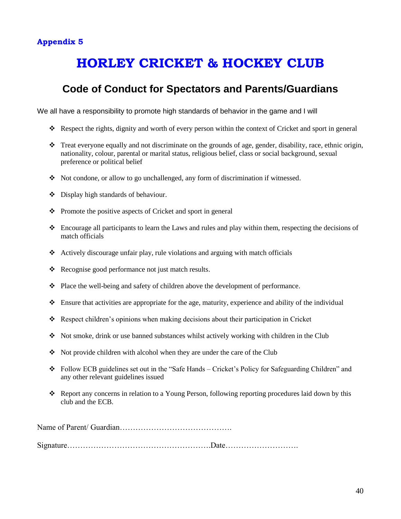### **Appendix 5**

# **HORLEY CRICKET & HOCKEY CLUB**

### **Code of Conduct for Spectators and Parents/Guardians**

We all have a responsibility to promote high standards of behavior in the game and I will

- Respect the rights, dignity and worth of every person within the context of Cricket and sport in general
- $\cdot \cdot$  Treat everyone equally and not discriminate on the grounds of age, gender, disability, race, ethnic origin, nationality, colour, parental or marital status, religious belief, class or social background, sexual preference or political belief
- $\bullet$  Not condone, or allow to go unchallenged, any form of discrimination if witnessed.
- Display high standards of behaviour.
- $\triangle$  Promote the positive aspects of Cricket and sport in general
- $\triangle$  Encourage all participants to learn the Laws and rules and play within them, respecting the decisions of match officials
- Actively discourage unfair play, rule violations and arguing with match officials
- Recognise good performance not just match results.
- $\bullet$  Place the well-being and safety of children above the development of performance.
- $\bullet$  Ensure that activities are appropriate for the age, maturity, experience and ability of the individual
- Respect children's opinions when making decisions about their participation in Cricket
- Not smoke, drink or use banned substances whilst actively working with children in the Club
- $\div$  Not provide children with alcohol when they are under the care of the Club
- Follow ECB guidelines set out in the "Safe Hands Cricket's Policy for Safeguarding Children" and any other relevant guidelines issued
- Report any concerns in relation to a Young Person, following reporting procedures laid down by this club and the ECB.

Name of Parent/ Guardian…………………………………….

Signature……………………………………………….Date……………………….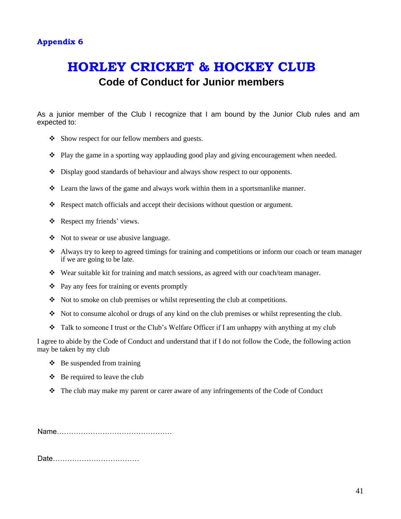### **HORLEY CRICKET & HOCKEY CLUB Code of Conduct for Junior members**

As a junior member of the Club I recognize that I am bound by the Junior Club rules and am expected to:

- Show respect for our fellow members and guests.
- Play the game in a sporting way applauding good play and giving encouragement when needed.
- Display good standards of behaviour and always show respect to our opponents.
- $\triangleleft$  Learn the laws of the game and always work within them in a sportsmanlike manner.
- \* Respect match officials and accept their decisions without question or argument.
- Respect my friends' views.
- Not to swear or use abusive language.
- Always try to keep to agreed timings for training and competitions or inform our coach or team manager if we are going to be late.
- $\bullet$  Wear suitable kit for training and match sessions, as agreed with our coach/team manager.
- $\triangle$  Pay any fees for training or events promptly
- $\lozenge$  Not to smoke on club premises or whilst representing the club at competitions.
- Not to consume alcohol or drugs of any kind on the club premises or whilst representing the club.
- Talk to someone I trust or the Club's Welfare Officer if I am unhappy with anything at my club

I agree to abide by the Code of Conduct and understand that if I do not follow the Code, the following action may be taken by my club

- $\triangle$  Be suspended from training
- $\triangle$  Be required to leave the club
- $\div$  The club may make my parent or carer aware of any infringements of the Code of Conduct

Name…………………………………………

Date………………………………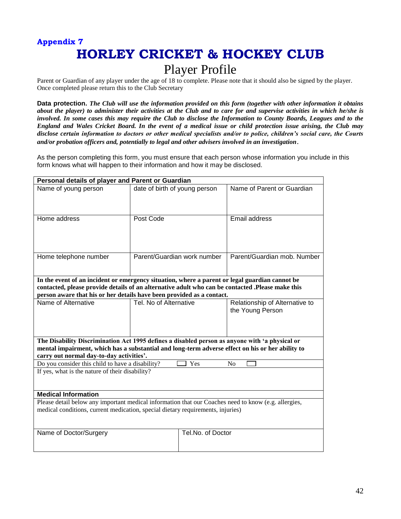# **Appendix 7 HORLEY CRICKET & HOCKEY CLUB**

### Player Profile

Parent or Guardian of any player under the age of 18 to complete. Please note that it should also be signed by the player. Once completed please return this to the Club Secretary

**Data protection.** *The Club will use the information provided on this form (together with other information it obtains about the player) to administer their activities at the Club and to care for and supervise activities in which he/she is involved. In some cases this may require the Club to disclose the Information to County Boards, Leagues and to the England and Wales Cricket Board. In the event of a medical issue or child protection issue arising, the Club may disclose certain information to doctors or other medical specialists and/or to police, children's social care, the Courts and/or probation officers and, potentially to legal and other advisers involved in an investigation*.

As the person completing this form, you must ensure that each person whose information you include in this form knows what will happen to their information and how it may be disclosed.

| Personal details of player and Parent or Guardian                                                    |                                                                                                                                                                                                    |                                |  |  |
|------------------------------------------------------------------------------------------------------|----------------------------------------------------------------------------------------------------------------------------------------------------------------------------------------------------|--------------------------------|--|--|
| Name of young person                                                                                 | date of birth of young person                                                                                                                                                                      | Name of Parent or Guardian     |  |  |
|                                                                                                      |                                                                                                                                                                                                    |                                |  |  |
|                                                                                                      |                                                                                                                                                                                                    |                                |  |  |
| Home address                                                                                         | Post Code                                                                                                                                                                                          | Email address                  |  |  |
|                                                                                                      |                                                                                                                                                                                                    |                                |  |  |
|                                                                                                      |                                                                                                                                                                                                    |                                |  |  |
|                                                                                                      | Parent/Guardian work number                                                                                                                                                                        | Parent/Guardian mob. Number    |  |  |
| Home telephone number                                                                                |                                                                                                                                                                                                    |                                |  |  |
|                                                                                                      |                                                                                                                                                                                                    |                                |  |  |
|                                                                                                      | In the event of an incident or emergency situation, where a parent or legal guardian cannot be<br>contacted, please provide details of an alternative adult who can be contacted .Please make this |                                |  |  |
|                                                                                                      | person aware that his or her details have been provided as a contact.                                                                                                                              |                                |  |  |
| Name of Alternative                                                                                  | Tel. No of Alternative                                                                                                                                                                             | Relationship of Alternative to |  |  |
|                                                                                                      |                                                                                                                                                                                                    | the Young Person               |  |  |
|                                                                                                      |                                                                                                                                                                                                    |                                |  |  |
|                                                                                                      |                                                                                                                                                                                                    |                                |  |  |
|                                                                                                      | The Disability Discrimination Act 1995 defines a disabled person as anyone with 'a physical or<br>mental impairment, which has a substantial and long-term adverse effect on his or her ability to |                                |  |  |
| carry out normal day-to-day activities'.                                                             |                                                                                                                                                                                                    |                                |  |  |
| Do you consider this child to have a disability?<br>Yes<br>No                                        |                                                                                                                                                                                                    |                                |  |  |
| If yes, what is the nature of their disability?                                                      |                                                                                                                                                                                                    |                                |  |  |
|                                                                                                      |                                                                                                                                                                                                    |                                |  |  |
| <b>Medical Information</b>                                                                           |                                                                                                                                                                                                    |                                |  |  |
| Please detail below any important medical information that our Coaches need to know (e.g. allergies, |                                                                                                                                                                                                    |                                |  |  |
| medical conditions, current medication, special dietary requirements, injuries)                      |                                                                                                                                                                                                    |                                |  |  |
|                                                                                                      |                                                                                                                                                                                                    |                                |  |  |
| Name of Doctor/Surgery                                                                               | Tel.No. of Doctor                                                                                                                                                                                  |                                |  |  |
|                                                                                                      |                                                                                                                                                                                                    |                                |  |  |
|                                                                                                      |                                                                                                                                                                                                    |                                |  |  |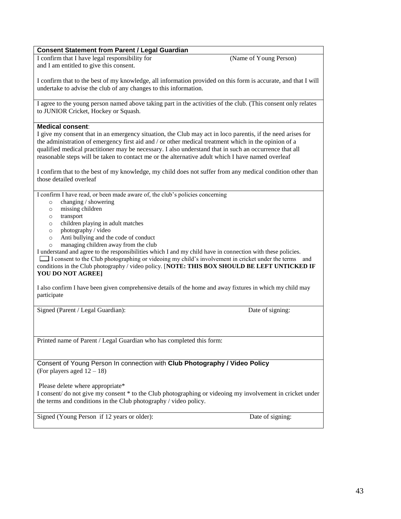#### **Consent Statement from Parent / Legal Guardian**

I confirm that I have legal responsibility for (Name of Young Person) and I am entitled to give this consent.

I confirm that to the best of my knowledge, all information provided on this form is accurate, and that I will undertake to advise the club of any changes to this information.

I agree to the young person named above taking part in the activities of the club. (This consent only relates to JUNIOR Cricket, Hockey or Squash.

#### **Medical consent**:

I give my consent that in an emergency situation, the Club may act in loco parentis, if the need arises for the administration of emergency first aid and / or other medical treatment which in the opinion of a qualified medical practitioner may be necessary. I also understand that in such an occurrence that all reasonable steps will be taken to contact me or the alternative adult which I have named overleaf

I confirm that to the best of my knowledge, my child does not suffer from any medical condition other than those detailed overleaf

I confirm I have read, or been made aware of, the club's policies concerning

- o changing / showering
- o missing children
- o transport
- o children playing in adult matches
- o photography / video
- o Anti bullying and the code of conduct
- o managing children away from the club

I understand and agree to the responsibilities which I and my child have in connection with these policies. I consent to the Club photographing or videoing my child's involvement in cricket under the terms and conditions in the Club photography / video policy. [**NOTE: THIS BOX SHOULD BE LEFT UNTICKED IF YOU DO NOT AGREE]**

I also confirm I have been given comprehensive details of the home and away fixtures in which my child may participate

Signed (Parent / Legal Guardian): Date of signing: Date of signing:

Printed name of Parent / Legal Guardian who has completed this form:

Consent of Young Person In connection with **Club Photography / Video Policy** (For players aged 12 – 18)

Please delete where appropriate\* I consent/ do not give my consent \* to the Club photographing or videoing my involvement in cricket under the terms and conditions in the Club photography / video policy.

Signed (Young Person if 12 years or older): Date of signing: Date of signing: